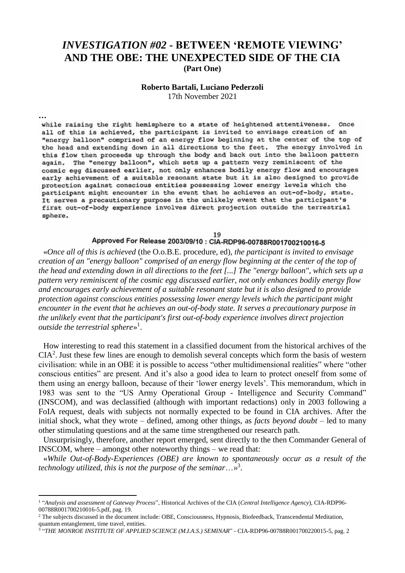## *INVESTIGATION #02* **- BETWEEN 'REMOTE VIEWING' AND THE OBE: THE UNEXPECTED SIDE OF THE CIA (Part One)**

## **Roberto Bartali, Luciano Pederzoli**

17th November 2021

**…**

**.** 

while raising the right hemisphere to a state of heightened attentiveness. Once all of this is achieved, the participant is invited to envisage creation of an "energy balloon" comprised of an energy flow beginning at the center of the top of the head and extending down in all directions to the feet. The energy involved in this flow then proceeds up through the body and back out into the balloon pattern again. The "energy balloon", which sets up a pattern very reminiscent of the cosmic egg discussed earlier, not only enhances bodily energy flow and encourages early achievement of a suitable resonant state but it is also designed to provide protection against conscious entities possessing lower energy levels which the participant might encounter in the event that he achieves an out-of-body, state. It serves a precautionary purpose in the unlikely event that the participant's first out-of-body experience involves direct projection outside the terrestrial sphere.

## 19 Approved For Release 2003/09/10 : CIA-RDP96-00788R001700210016-5

«*Once all of this is achieved* (the O.o.B.E. procedure, ed), *the participant is invited to envisage creation of an "energy balloon" comprised of an energy flow beginning at the center of the top of the head and extending down in all directions to the feet [...] The "energy balloon", which sets up a pattern very reminiscent of the cosmic egg discussed earlier, not only enhances bodily energy flow and encourages early achievement of a suitable resonant state but it is also designed to provide protection against conscious entities possessing lower energy levels which the participant might encounter in the event that he achieves an out-of-body state. It serves a precautionary purpose in the unlikely event that the participant's first out-of-body experience involves direct projection outside the terrestrial sphere*» 1 .

How interesting to read this statement in a classified document from the historical archives of the  $CIA<sup>2</sup>$ . Just these few lines are enough to demolish several concepts which form the basis of western civilisation: while in an OBE it is possible to access "other multidimensional realities" where "other conscious entities" are present. And it's also a good idea to learn to protect oneself from some of them using an energy balloon, because of their 'lower energy levels'. This memorandum, which in 1983 was sent to the "US Army Operational Group - Intelligence and Security Command" (INSCOM), and was declassified (although with important redactions) only in 2003 following a FoIA request, deals with subjects not normally expected to be found in CIA archives. After the initial shock, what they wrote – defined, among other things, as *facts beyond doubt* – led to many other stimulating questions and at the same time strengthened our research path.

Unsurprisingly, therefore, another report emerged, sent directly to the then Commander General of INSCOM, where – amongst other noteworthy things – we read that:

«*While Out-of-Body-Experiences (OBE) are known to spontaneously occur as a result of the technology utilized, this is not the purpose of the seminar*…»<sup>3</sup> .

<sup>1</sup> "*Analysis and assessment of Gateway Process*", Historical Archives of the CIA (*Central Intelligence Agency*), CIA-RDP96- 00788R001700210016-5.pdf, pag. 19.

<sup>&</sup>lt;sup>2</sup> The subjects discussed in the document include: OBE, Consciousness, Hypnosis, Biofeedback, Transcendental Meditation, quantum entanglement, time travel, entities.

<sup>3</sup> "*THE MONROE INSTITUTE OF APPLIED SCIENCE (M.I.A.S.) SEMINAR*" - CIA-RDP96-00788R001700220015-5, pag. 2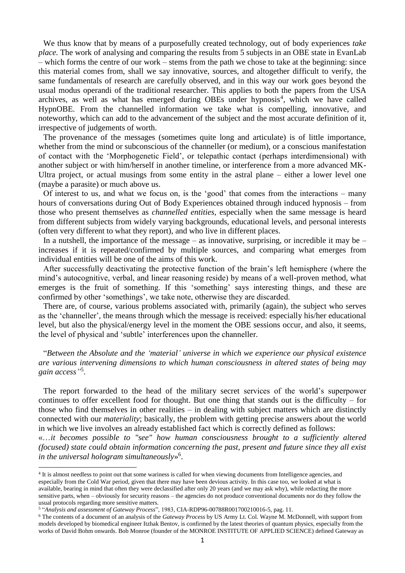We thus know that by means of a purposefully created technology, out of body experiences *take place*. The work of analysing and comparing the results from 5 subjects in an OBE state in EvanLab – which forms the centre of our work – stems from the path we chose to take at the beginning: since this material comes from, shall we say innovative, sources, and altogether difficult to verify, the same fundamentals of research are carefully observed, and in this way our work goes beyond the usual modus operandi of the traditional researcher. This applies to both the papers from the USA archives, as well as what has emerged during OBEs under hypnosis<sup>4</sup>, which we have called HypnOBE. From the channelled information we take what is compelling, innovative, and noteworthy, which can add to the advancement of the subject and the most accurate definition of it, irrespective of judgements of worth.

The provenance of the messages (sometimes quite long and articulate) is of little importance, whether from the mind or subconscious of the channeller (or medium), or a conscious manifestation of contact with the 'Morphogenetic Field', or telepathic contact (perhaps interdimensional) with another subject or with him/herself in another timeline, or interference from a more advanced MK-Ultra project, or actual musings from some entity in the astral plane – either a lower level one (maybe a parasite) or much above us.

Of interest to us, and what we focus on, is the 'good' that comes from the interactions – many hours of conversations during Out of Body Experiences obtained through induced hypnosis – from those who present themselves as *channelled entities,* especially when the same message is heard from different subjects from widely varying backgrounds, educational levels, and personal interests (often very different to what they report), and who live in different places.

In a nutshell, the importance of the message – as innovative, surprising, or incredible it may be – increases if it is repeated/confirmed by multiple sources, and comparing what emerges from individual entities will be one of the aims of this work.

After successfully deactivating the protective function of the brain's left hemisphere (where the mind's autocognitive, verbal, and linear reasoning reside) by means of a well-proven method, what emerges is the fruit of something. If this 'something' says interesting things, and these are confirmed by other 'somethings', we take note, otherwise they are discarded.

There are, of course, various problems associated with, primarily (again), the subject who serves as the 'channeller', the means through which the message is received: especially his/her educational level, but also the physical/energy level in the moment the OBE sessions occur, and also, it seems, the level of physical and 'subtle' interferences upon the channeller.

"*Between the Absolute and the 'material' universe in which we experience our physical existence are various intervening dimensions to which human consciousness in altered states of being may gain access"* 5 .

The report forwarded to the head of the military secret services of the world's superpower continues to offer excellent food for thought. But one thing that stands out is the difficulty – for those who find themselves in other realities – in dealing with subject matters which are distinctly connected with our *materiality*; basically, the problem with getting precise answers about the world in which we live involves an already established fact which is correctly defined as follows:

«…*it becomes possible to "see" how human consciousness brought to a sufficiently altered (focused) state could obtain information concerning the past, present and future since they all exist in the universal hologram simultaneously*» 6 .

**.** 

<sup>&</sup>lt;sup>4</sup> It is almost needless to point out that some wariness is called for when viewing documents from Intelligence agencies, and especially from the Cold War period, given that there may have been devious activity. In this case too, we looked at what is available, bearing in mind that often they were declassified after only 20 years (and we may ask why), while redacting the more sensitive parts, when – obviously for security reasons – the agencies do not produce conventional documents nor do they follow the usual protocols regarding more sensitive matters.

<sup>5</sup> "*Analysis and assessment of Gateway Process*", 1983, CIA-RDP96-00788R001700210016-5, pag. 11.

<sup>6</sup> The contents of a document of an analysis of the *Gateway Process* by US Army Lt. Col. Wayne M. McDonnell, with support from models developed by biomedical engineer Itzhak Bentov, is confirmed by the latest theories of quantum physics, especially from the works of David Bohm onwards. Bob Monroe (founder of the MONROE INSTITUTE OF APPLIED SCIENCE) defined Gateway as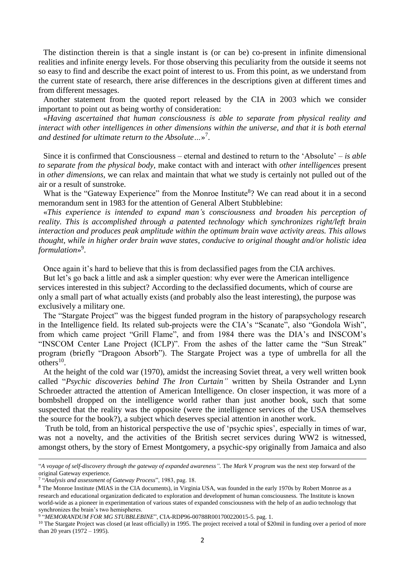The distinction therein is that a single instant is (or can be) co-present in infinite dimensional realities and infinite energy levels. For those observing this peculiarity from the outside it seems not so easy to find and describe the exact point of interest to us. From this point, as we understand from the current state of research, there arise differences in the descriptions given at different times and from different messages.

Another statement from the quoted report released by the CIA in 2003 which we consider important to point out as being worthy of consideration:

«*Having ascertained that human consciousness is able to separate from physical reality and interact with other intelligences in other dimensions within the universe, and that it is both eternal and destined for ultimate return to the Absolute…*» 7 .

Since it is confirmed that Consciousness – eternal and destined to return to the 'Absolute' – *is able to separate from the physical body,* make contact with and interact with *other intelligences* present in *other dimensions,* we can relax and maintain that what we study is certainly not pulled out of the air or a result of sunstroke.

What is the "Gateway Experience" from the Monroe Institute<sup>8</sup>? We can read about it in a second memorandum sent in 1983 for the attention of General Albert Stubblebine:

«*This experience is intended to expand man's consciousness and broaden his perception of reality. This is accomplished through a patented technology which synchronizes right/left brain interaction and produces peak amplitude within the optimum brain wave activity areas. This allows thought, while in higher order brain wave states, conducive to original thought and/or holistic idea formulation*» 9 .

Once again it's hard to believe that this is from declassified pages from the CIA archives.

But let's go back a little and ask a simpler question: why ever were the American intelligence services interested in this subject? According to the declassified documents, which of course are only a small part of what actually exists (and probably also the least interesting), the purpose was exclusively a military one.

The "Stargate Project" was the biggest funded program in the history of parapsychology research in the Intelligence field. Its related sub-projects were the CIA's "Scanate", also "Gondola Wish", from which came project "Grill Flame", and from 1984 there was the DIA's and INSCOM's "INSCOM Center Lane Project (ICLP)". From the ashes of the latter came the "Sun Streak" program (briefly "Dragoon Absorb"). The Stargate Project was a type of umbrella for all the  $others<sup>10</sup>$ .

At the height of the cold war (1970), amidst the increasing Soviet threat, a very well written book called "*Psychic discoveries behind The Iron Curtain"* written by Sheila Ostrander and Lynn Schroeder attracted the attention of American Intelligence. On closer inspection, it was more of a bombshell dropped on the intelligence world rather than just another book, such that some suspected that the reality was the opposite (were the intelligence services of the USA themselves the source for the book?), a subject which deserves special attention in another work.

Truth be told, from an historical perspective the use of 'psychic spies', especially in times of war, was not a novelty, and the activities of the British secret services during WW2 is witnessed, amongst others, by the story of Ernest Montgomery, a psychic-spy originally from Jamaica and also

1

<sup>&</sup>quot;*A voyage of self-discovery through the gateway of expanded awareness".* The *Mark V program* was the next step forward of the original Gateway experience.

<sup>7</sup> "*Analysis and assessment of Gateway Process*", 1983, pag. 18.

<sup>&</sup>lt;sup>8</sup> The Monroe Institute (MIAS in the CIA documents), in Virginia USA, was founded in the early 1970s by Robert Monroe as a research and educational organization dedicated to exploration and development of human consciousness. The Institute is known world-wide as a pioneer in experimentation of various states of expanded consciousness with the help of an audio technology that synchronizes the brain's two hemispheres.

<sup>9</sup> "*MEMORANDUM FOR MG STUBBLEBINE*", CIA-RDP96-00788R001700220015-5. pag. 1.

<sup>&</sup>lt;sup>10</sup> The Stargate Project was closed (at least officially) in 1995. The project received a total of \$20mil in funding over a period of more than 20 years  $(1972 - 1995)$ .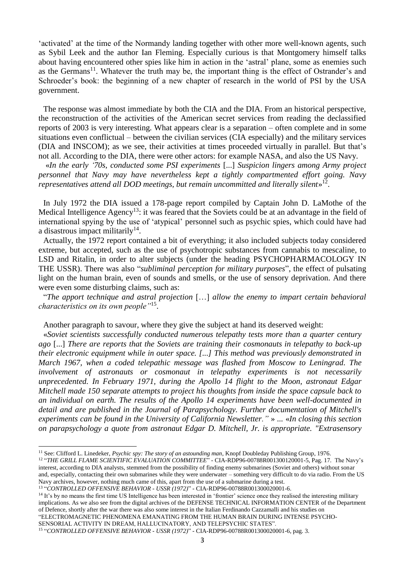'activated' at the time of the Normandy landing together with other more well-known agents, such as Sybil Leek and the author Ian Fleming. Especially curious is that Montgomery himself talks about having encountered other spies like him in action in the 'astral' plane, some as enemies such as the Germans<sup>11</sup>. Whatever the truth may be, the important thing is the effect of Ostrander's and Schroeder's book: the beginning of a new chapter of research in the world of PSI by the USA government.

The response was almost immediate by both the CIA and the DIA. From an historical perspective, the reconstruction of the activities of the American secret services from reading the declassified reports of 2003 is very interesting. What appears clear is a separation – often complete and in some situations even conflictual – between the civilian services (CIA especially) and the military services (DIA and INSCOM); as we see, their activities at times proceeded virtually in parallel. But that's not all. According to the DIA, there were other actors: for example NASA, and also the US Navy.

«*In the early '70s, conducted some PSI experiments* [...] *Suspicion lingers among Army project personnel that Navy may have nevertheless kept a tightly compartmented effort going. Navy*  representatives attend all DOD meetings, but remain uncommitted and literally silent»<sup>12</sup>.

In July 1972 the DIA issued a 178-page report compiled by Captain John D. LaMothe of the Medical Intelligence Agency<sup>13</sup>: it was feared that the Soviets could be at an advantage in the field of international spying by the use of 'atypical' personnel such as psychic spies, which could have had a disastrous impact militarily $14$ .

Actually, the 1972 report contained a bit of everything; it also included subjects today considered extreme, but accepted, such as the use of psychotropic substances from cannabis to mescaline, to LSD and Ritalin, in order to alter subjects (under the heading PSYCHOPHARMACOLOGY IN THE USSR). There was also "*subliminal perception for military purposes*", the effect of pulsating light on the human brain, even of sounds and smells, or the use of sensory deprivation. And there were even some disturbing claims, such as:

"*The apport technique and astral projection* […] *allow the enemy to impart certain behavioral characteristics on its own people"*<sup>15</sup> .

Another paragraph to savour, where they give the subject at hand its deserved weight:

«*Soviet scientists successfully conducted numerous telepathy tests more than a quarter century ago* [...] *There are reports that the Soviets are training their cosmonauts in telepathy to back-up their electronic equipment while in outer space. [...] This method was previously demonstrated in March 1967, when a coded telepathic message was flashed from Moscow to Leningrad. The involvement of astronauts or cosmonaut in telepathy experiments is not necessarily unprecedented. In February 1971, during the Apollo 14 flight to the Moon, astronaut Edgar Mitchell made 150 separate attempts to project his thoughts from inside the space capsule back to an individual on earth. The results of the Apollo 14 experiments have been well-documented in detail and are published in the Journal of Parapsychology. Further documentation of Mitchell's experiments can be found in the University of California Newsletter."* » ... «*In closing this section on parapsychology a quote from astronaut Edgar D. Mitchell, Jr. is appropriate. "Extrasensory* 

SENSORIAL ACTIVITY IN DREAM, HALLUCINATORY, AND TELEPSYCHIC STATES".

**.** 

<sup>11</sup> See: Clifford L. Linedeker, *Psychic spy: The story of an astounding man*, Knopf Doubleday Publishing Group, 1976.

<sup>&</sup>lt;sup>12</sup> "THE GRILL FLAME SCIENTIFIC EVALUATION COMMITTEE" - CIA-RDP96-00788R001300120001-5, Pag. 17. The Navy's interest, according to DIA analysts, stemmed from the possibility of finding enemy submarines (Soviet and others) without sonar and, especially, contacting their own submarines while they were underwater – something very difficult to do via radio. From the US Navy archives, however, nothing much came of this, apart from the use of a submarine during a test.

<sup>13</sup> "*CONTROLLED OFFENSIVE BEHAVIOR - USSR (1972)*" - CIA-RDP96-00788R001300020001-6.

<sup>&</sup>lt;sup>14</sup> It's by no means the first time US Intelligence has been interested in 'frontier' science once they realised the interesting military implications. As we also see from the digital archives of the DEFENSE TECHNICAL INFORMATION CENTER of the Department of Defence, shortly after the war there was also some interest in the Italian Ferdinando Cazzamalli and his studies on "ELECTROMAGNETIC PHENOMENA EMANATING FROM THE HUMAN BRAIN DURING INTENSE PSYCHO-

<sup>15</sup> "*CONTROLLED OFFENSIVE BEHAVIOR - USSR (1972)*" - CIA-RDP96-00788R001300020001-6, pag. 3.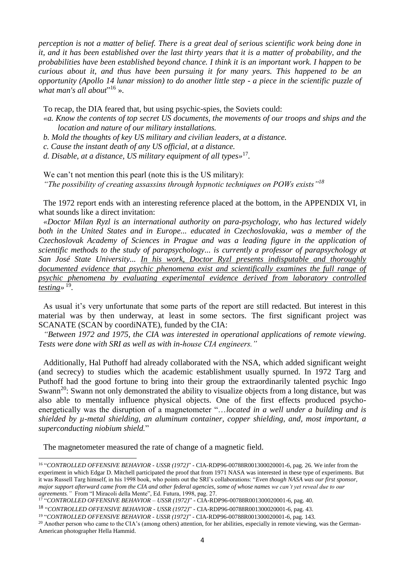*perception is not a matter of belief. There is a great deal of serious scientific work being done in it, and it has been established over the last thirty years that it is a matter of probability, and the probabilities have been established beyond chance. I think it is an important work. I happen to be curious about it, and thus have been pursuing it for many years. This happened to be an opportunity (Apollo 14 lunar mission) to do another little step - a piece in the scientific puzzle of*  what man's all about"<sup>16</sup> ».

To recap, the DIA feared that, but using psychic-spies, the Soviets could:

- *«a. Know the contents of top secret US documents, the movements of our troops and ships and the location and nature of our military installations.*
- *b. Mold the thoughts of key US military and civilian leaders, at a distance.*
- *c. Cause the instant death of any US official, at a distance.*
- *d. Disable, at a distance, US military equipment of all types»* 17 *.*

We can't not mention this pearl (note this is the US military): *"The possibility of creating assassins through hypnotic techniques on POWs exists"<sup>18</sup>*

The 1972 report ends with an interesting reference placed at the bottom, in the APPENDIX VI, in what sounds like a direct invitation:

*«Doctor Milan Ryzl is an international authority on para-psychology, who has lectured widely both in the United States and in Europe... educated in Czechoslovakia, was a member of the Czechoslovak Academy of Sciences in Prague and was a leading figure in the application of scientific methods to the study of parapsychology... is currently a professor of parapsychology at San José State University... In his work, Doctor Ryzl presents indisputable and thoroughly documented evidence that psychic phenomena exist and scientifically examines the full range of psychic phenomena by evaluating experimental evidence derived from laboratory controlled testing»* 19 *.*

As usual it's very unfortunate that some parts of the report are still redacted. But interest in this material was by then underway, at least in some sectors. The first significant project was SCANATE (SCAN by coordiNATE), funded by the CIA:

*"Between 1972 and 1975, the CIA was interested in operational applications of remote viewing. Tests were done with SRI as well as with in-house CIA engineers."*

Additionally, Hal Puthoff had already collaborated with the NSA, which added significant weight (and secrecy) to studies which the academic establishment usually spurned. In 1972 Targ and Puthoff had the good fortune to bring into their group the extraordinarily talented psychic Ingo Swann<sup>20</sup>: Swann not only demonstrated the ability to visualize objects from a long distance, but was also able to mentally influence physical objects. One of the first effects produced psychoenergetically was the disruption of a magnetometer "…*located in a well under a building and is shielded by µ-metal shielding, an aluminum container, copper shielding, and, most important, a superconducting niobium shield.*"

The magnetometer measured the rate of change of a magnetic field.

 16 "*CONTROLLED OFFENSIVE BEHAVIOR - USSR (1972)*" - CIA-RDP96-00788R001300020001-6, pag. 26. We infer from the experiment in which Edgar D. Mitchell participated the proof that from 1971 NASA was interested in these type of experiments. But it was Russell Targ himself, in his 1998 book, who points out the SRI's collaborations: "*Even though NASA was our first sponsor, major support afterward came from the CIA and other federal agencies, some of whose names we can't yet reveal due to our agreements."* From "I Miracoli della Mente", Ed. Futura, 1998, pag. 27.

<sup>17</sup> "*CONTROLLED OFFENSIVE BEHAVIOR – USSR (1972)*" - CIA-RDP96-00788R001300020001-6, pag. 40.

<sup>18</sup> "*CONTROLLED OFFENSIVE BEHAVIOR - USSR (1972)*" - CIA-RDP96-00788R001300020001-6, pag. 43.

<sup>19</sup> "*CONTROLLED OFFENSIVE BEHAVIOR - USSR (1972)*" - CIA-RDP96-00788R001300020001-6, pag. 143.

<sup>&</sup>lt;sup>20</sup> Another person who came to the CIA's (among others) attention, for her abilities, especially in remote viewing, was the German-American photographer Hella Hammid.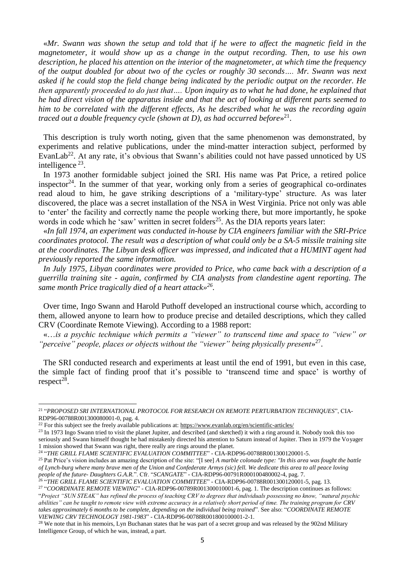«*Mr. Swann was shown the setup and told that if he were to affect the magnetic field in the magnetometer, it would show up as a change in the output recording. Then, to use his own description, he placed his attention on the interior of the magnetometer, at which time the frequency of the output doubled for about two of the cycles or roughly 30 seconds…. Mr. Swann was next asked if he could stop the field change being indicated by the periodic output on the recorder. He then apparently proceeded to do just that…. Upon inquiry as to what he had done, he explained that he had direct vision of the apparatus inside and that the act of looking at different parts seemed to him to be correlated with the different effects, As he described what he was the recording again traced out a double frequency cycle (shown at D), as had occurred before*» 21 .

This description is truly worth noting, given that the same phenomenon was demonstrated, by experiments and relative publications, under the mind-matter interaction subject, performed by EvanLab<sup>22</sup>. At any rate, it's obvious that Swann's abilities could not have passed unnoticed by US intelligence  $^{23}$ .

In 1973 another formidable subject joined the SRI. His name was Pat Price, a retired police inspector<sup>24</sup>. In the summer of that year, working only from a series of geographical co-ordinates read aloud to him, he gave striking descriptions of a 'military-type' structure. As was later discovered, the place was a secret installation of the NSA in West Virginia. Price not only was able to 'enter' the facility and correctly name the people working there, but more importantly, he spoke words in code which he 'saw' written in secret folders<sup>25</sup>. As the DIA reports years later:

«*In fall 1974, an experiment was conducted in-house by CIA engineers familiar with the SRI-Price coordinates protocol. The result was a description of what could only be a SA-5 missile training site at the coordinates. The Libyan desk officer was impressed, and indicated that a HUMINT agent had previously reported the same information.* 

*In July 1975, Libyan coordinates were provided to Price, who came back with a description of a guerrilla training site - again, confirmed by CIA analysts from clandestine agent reporting. The same month Price tragically died of a heart attack» 26 .*

Over time, Ingo Swann and Harold Puthoff developed an instructional course which, according to them, allowed anyone to learn how to produce precise and detailed descriptions, which they called CRV (Coordinate Remote Viewing). According to a 1988 report:

«…*is a psychic technique which permits a "viewer" to transcend time and space to "view" or*  "perceive" people, places or objects without the "viewer" being physically present»<sup>27</sup>.

The SRI conducted research and experiments at least until the end of 1991, but even in this case, the simple fact of finding proof that it's possible to 'transcend time and space' is worthy of  $respect<sup>28</sup>$ .

1

26 "*THE GRILL FLAME SCIENTIFIC EVALUATION COMMITTEE*" - CIA-RDP96-00788R001300120001-5, pag. 13.

<sup>27</sup> "*COORDINATE REMOTE VIEWING*" - CIA-RDP96-00789R001300010001-6, pag. 1. The description continues as follows: "*Project "SUN STEAK" has refined the process of teaching CRV to degrees that individuals possessing no know, "natural psychic abilities" can be taught to remote view with extreme accuracy in a relatively short period of time. The training program for CRV takes approximately 6 months to be complete, depending on the individual being trained*". See also: "*COORDINATE REMOTE VIEWING CRV TECHNOLOGY 1981-1983*" - CIA-RDP96-00788R001800100001-2-1.

<sup>28</sup> We note that in his memoirs, Lyn Buchanan states that he was part of a secret group and was released by the 902nd Military Intelligence Group, of which he was, instead, a part.

<sup>21</sup> "*PROPOSED SRI INTERNATIONAL PROTOCOL FOR RESEARCH ON REMOTE PERTURBATION TECHNIQUES*", CIA-RDP96-00788R001300080001-0, pag. 4.

<sup>&</sup>lt;sup>22</sup> For this subject see the freely available publications at:<https://www.evanlab.org/en/scientific-articles/>

<sup>&</sup>lt;sup>23</sup> In 1973 Ingo Swann tried to visit the planet Jupiter, and described (and sketched) it with a ring around it. Nobody took this too seriously and Swann himself thought he had mistakenly directed his attention to Saturn instead of Jupiter. Then in 1979 the Voyager 1 mission showed that Swann was right, there really are rings around the planet.

<sup>24</sup> "*THE GRILL FLAME SCIENTIFIC EVALUATION COMMITTEE*" - CIA-RDP96-00788R001300120001-5.

<sup>&</sup>lt;sup>25</sup> Pat Price's vision includes an amazing description of the site: "[I see] *A marble colonade type: "In this area was fought the battle of Lynch-burg where many brave men of the Union and Confederate Armys (sic) fell. We dedicate this area to all peace loving people of the future- Daughters G.A.R.*". Cfr. "*SCANGATE*" - CIA-RDP96-00791R000100480002-4, pag. 7.